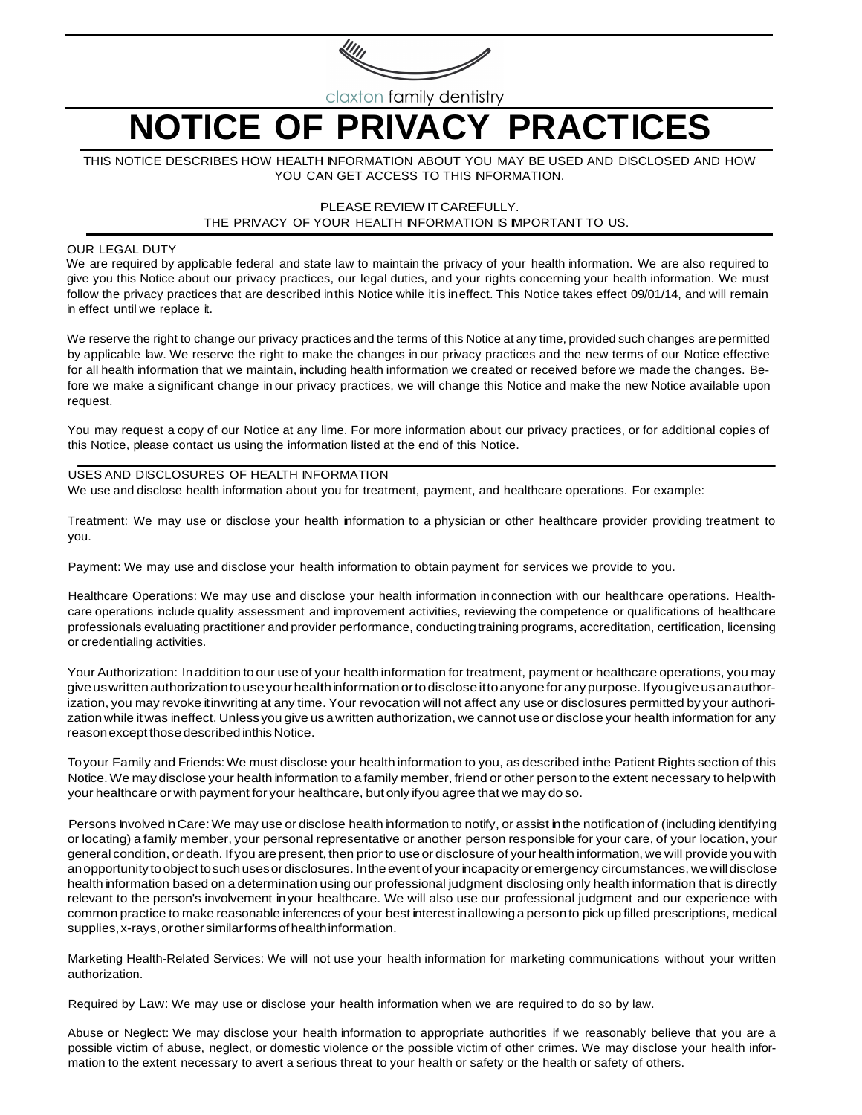

claxton family dentistry

# **NOTICE OF PRIVACY PRACTICES**

# THIS NOTICE DESCRIBES HOW HEALTH NFORMATION ABOUT YOU MAY BE USED AND DISCLOSED AND HOW YOU CAN GET ACCESS TO THIS **N**FORMATION.

## PLEASE PLEASE REVIEW IT CAREFULLY. THE PRIVACY OF YOUR HEALTH INFORMATION IS IMPORTANT TO US.

#### OUR LEGAL DUTY

We are required by applicable federal and state law to maintain the privacy of your health information. We are also required to give you this Notice about our privacy practices, our legal duties, and your rights concerning your health information. We must follow the privacy practices that are described inthis Notice while it is in effect. This Notice takes effect 09/01/14, and will remain in effect until we replace it.

We reserve the right to change our privacy practices and the terms of this Notice at any time, provided such changes are permitted by applicable law. We reserve the right to make the changes in our privacy practices and the new terms of our Notice effective for all health information that we maintain, including health information we created or received before we made the changes. Before we make a significant change in our privacy practices, we will change this Notice and make the new Notice available upon request.

You may request a copy of our Notice at any lime. For more information about our privacy practices, or for additional copies of this Notice, please contact us using the information listed at the end of this Notice.

USES AND DISCLOSURES OF HEALTH INFORMAT NFORMATION We use and disclose health information about you for treatment, payment, and healthcare operations. For example:

Treatment: We may use or disclose your health information to a physician or other healthcare provider providing treatment to you.

Payment: We may use and disclose your health information to obtain payment for services we provide to you.

Healthcare Operations: We may use and disclose your health information in connection with our healthcare operations. Healthcare operations include quality assessment and improvement activities, reviewing the competence or qualifications of healthcare professionals evaluating practitioner and provider performance, conducting training programs, accreditation, certification, licensing or credentialing activities.

Your Authorization: In addition to our use of your health information for treatment, payment or healthcare operations, you may give us written authorization to use your health information or to disclose it to anyone for any purpose. If you give us an authorization, you may revoke it inwriting at any time. Your revocation will not affect any use or disclosures permitted by your authorization while it was ineffect. Unless you give us a written authorization, we cannot use or disclose your health information for any reason except those described in this Notice.

Toyour Family and Friends: We must disclose your health information to you, as described inthe Patient Rights section of this Notice. We may disclose your health information to a family member, friend or other person to the extent necessary to help with your healthcare or with payment for your healthcare, but only if you agree that we may do so.

Persons hvolved h Care: We may use or disclose health information to notify, or assist in the notification of (including identifying or locating) a family member, your personal representative or another person responsible for your care, of your location, your general condition, or death. If you are present, then prior to use or disclosure of your health information, we will provide you with an opportunity to object to such uses or disclosures. In the event of your incapacity or emergency circumstances, we will disclose health information based on a determination using our professional judgment disclosing only health information that is directly relevant to the person's involvement in your healthcare. We will also use our professional judgment and our experience with common practice to make reasonable inferences of your best interest inallowing a person to pick up filled prescriptions, medical supplies, x-rays, or other similar forms of health information.

Marketing Health-Related Services: We will not use your health information for marketing communications without your written authorization.

Required by Law: We may use or disclose your health information when we are required to do so by law.

Abuse or Neglect: We may disclose your health information to appropriate authorities if we reasonably believe that you are a possible victim of abuse, neglect, or domestic violence or the possible victim of other crimes. We may disclose your health information to the extent necessary to avert a serious threat to your health or safety or the health or safety of others.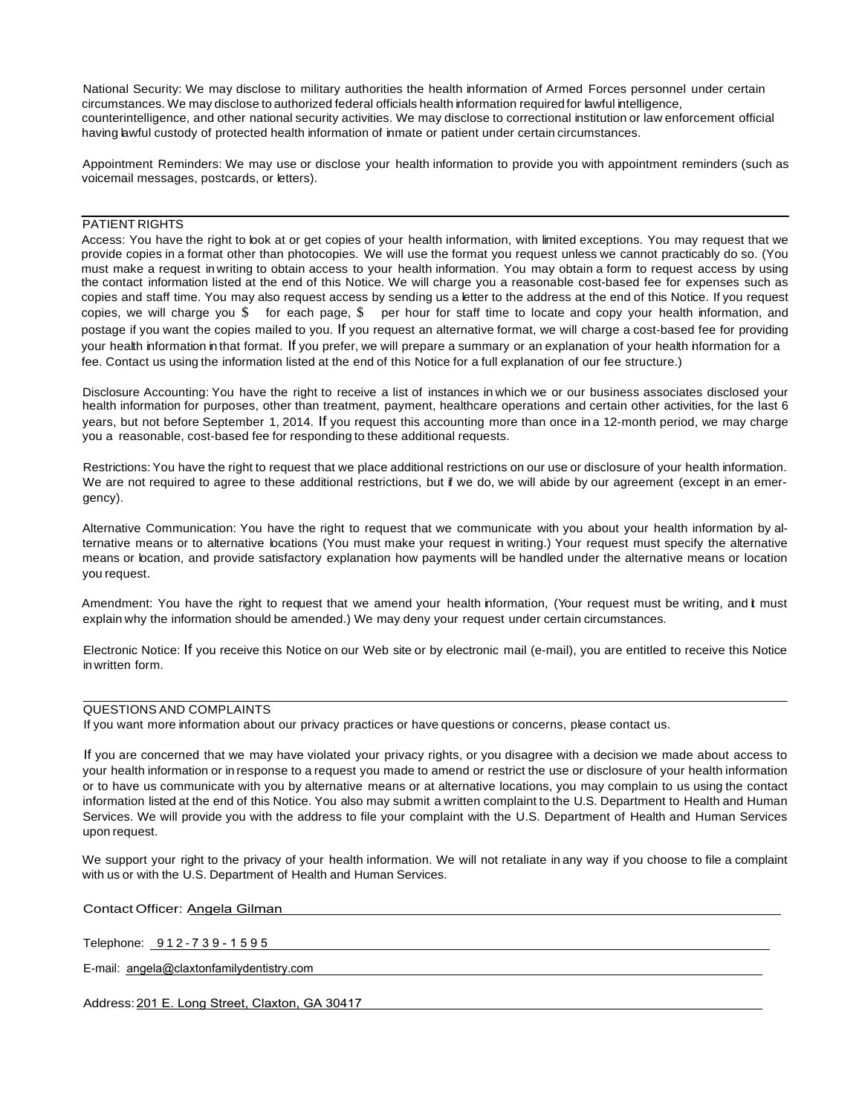National Security: We may disclose to military authorities the health information of Armed Forces personnel under certain circumstances. We may disclose to authorized federal officials health information required for lawful intelligence, counterintelligence, and other national security activities. We may disclose to correctional institution or law enforcement official having lawful custody of protected health information of inmate or patient under certain circumstances.

Appointment Reminders: We may use or disclose your health information to provide you with appointment reminders (such as voicemail messages, postcards, or letters).

### PATIENT RIGHTS

Access: You have the right to look at or get copies of your health information, with limited exceptions. You may request that we provide copies in a format other than photocopies. We will use the format you request unless we cannot practicably do so. (You must make a request in writing to obtain access to your health information. You may obtain a form to request access by using the contact information listed at the end of this Notice. We will charge you a reasonable cost-based fee for expenses such as copies and staff time. You may also request access by sending us a letter to the address at the end of this Notice. If you request copies, we will charge you  $\frac{1}{2}$  for each page,  $\frac{1}{2}$  per hour for staff time to locate and copy your health information, and postage if you want the copies mailed to you. If you request an alternative format, we will charge a cost-based fee for providing your health information in that format. If you prefer, we will prepare a summary or an explanation of your health information for a fee. Contact us using the information listed at the end of this Notice for a full explanation of our fee structure.)

Disclosure Accounting: You have the right to receive a list of instances in which we or our business associates disclosed your health information for purposes, other than treatment, payment, healthcare operations and certain other activities, for the last 6 years, but not before September 1, 2014. If you request this accounting more than once in a 12-month period, we may charge you a reasonable, cost-based fee for responding to these additional requests.

Restrictions: You have the right to request that we place additional restrictions on our use or disclosure of your health information. We are not required to agree to these additional restrictions, but if we do, we will abide by our agreement (except in an emergency).

Alternative Communication: You have the right to request that we communicate with you about your health information by alternative means or to alternative locations (You must make your request in writing.) Your request must specify the alternative means or location, and provide satisfactory explanation how payments will be handled under the alternative means or location you request.

Amendment: You have the right to request that we amend your health information, (Your request must be writing, and t must explain why the information should be amended.) We may deny your request under certain circumstances.

Electronic Notice: If you receive this Notice on our Web site or by electronic mail (e-mail), you are entitled to receive this Notice in written form.

#### QUESTIONS AND COMPLAINTS

If you want more information about our privacy practices or have questions or concerns, please contact us.

If you are concerned that we may have violated your privacy rights, or you disagree with a decision we made about access to your health information or in response to a request you made to amend or restrict the use or disclosure of your health information or to have us communicate with you by alternative means or at alternative locations, you may complain to us using the contact information listed at the end of this Notice. You also may submit a written complaint to the U.S. Department to Health and Human Services. We will provide you with the address to file your complaint with the U.S. Department of Health and Human Services upon request.

We support your right to the privacy of your health information. We will not retaliate in any way if you choose to file a complaint with us or with the U.S. Department of Health and Human Services.

Contact Officer: Angela Gilman

Telephone: 9 1 2 - 7 3 9 - 1 5 9 5

E-mail: angela@claxtonfamilydentistry.com

Address: 201 E. Long Street, Claxton, GA 30417